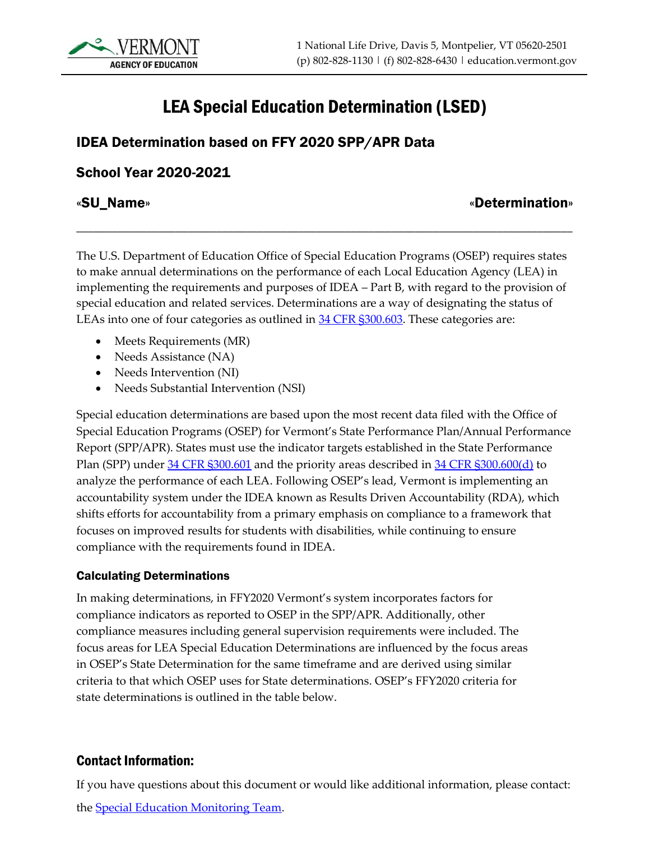# LEA Special Education Determination (LSED)

# IDEA Determination based on FFY 2020 SPP/APR Data

# School Year 2020-2021

# «SU\_Name» «Determination»

The U.S. Department of Education Office of Special Education Programs (OSEP) requires states to make annual determinations on the performance of each Local Education Agency (LEA) in implementing the requirements and purposes of IDEA – Part B, with regard to the provision of special education and related services. Determinations are a way of designating the status of LEAs into one of four categories as outlined in 34 CFR \$300.603. These categories are:

\_\_\_\_\_\_\_\_\_\_\_\_\_\_\_\_\_\_\_\_\_\_\_\_\_\_\_\_\_\_\_\_\_\_\_\_\_\_\_\_\_\_\_\_\_\_\_\_\_\_\_\_\_\_\_\_\_\_\_\_\_\_\_\_\_\_\_\_\_\_\_\_\_\_\_\_\_\_\_\_\_\_\_\_\_

- Meets Requirements (MR)
- Needs Assistance (NA)
- Needs Intervention (NI)
- Needs Substantial Intervention (NSI)

Special education determinations are based upon the most recent data filed with the Office of Special Education Programs (OSEP) for Vermont's State Performance Plan/Annual Performance Report (SPP/APR). States must use the indicator targets established in the State Performance Plan (SPP) under [34 CFR §300.601](https://www.ecfr.gov/cgi-bin/retrieveECFR?gp=&SID=25d6eb4e645011f9cde905bd8644bc0f&mc=true&n=sp34.2.300.f&r=SUBPART&ty=HTML#se34.2.300_1601) and the priority areas described in [34 CFR §300.600\(d\)](https://www.ecfr.gov/cgi-bin/retrieveECFR?gp=&SID=25d6eb4e645011f9cde905bd8644bc0f&mc=true&n=sp34.2.300.f&r=SUBPART&ty=HTML#se34.2.300_1600) to analyze the performance of each LEA. Following OSEP's lead, Vermont is implementing an accountability system under the IDEA known as Results Driven Accountability (RDA), which shifts efforts for accountability from a primary emphasis on compliance to a framework that focuses on improved results for students with disabilities, while continuing to ensure compliance with the requirements found in IDEA.

#### Calculating Determinations

In making determinations, in FFY2020 Vermont's system incorporates factors for compliance indicators as reported to OSEP in the SPP/APR. Additionally, other compliance measures including general supervision requirements were included. The focus areas for LEA Special Education Determinations are influenced by the focus areas in OSEP's State Determination for the same timeframe and are derived using similar criteria to that which OSEP uses for State determinations. OSEP's FFY2020 criteria for state determinations is outlined in the table below.

# Contact Information:

If you have questions about this document or would like additional information, please contact:

the [Special Education Monitoring Team.](mailto:AOE.SpecialEdMonitoringGroup@vermont.gov)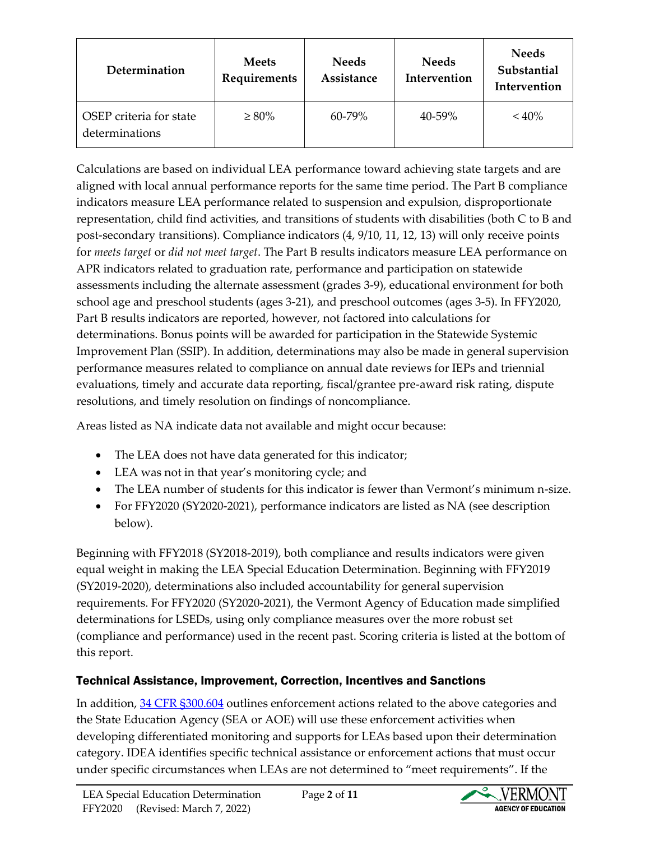| Determination                             | <b>Meets</b><br>Requirements | <b>Needs</b><br>Assistance | <b>Needs</b><br>Intervention | <b>Needs</b><br>Substantial<br>Intervention |
|-------------------------------------------|------------------------------|----------------------------|------------------------------|---------------------------------------------|
| OSEP criteria for state<br>determinations | $\geq 80\%$                  | 60-79%                     | 40-59%                       | $< 40\%$                                    |

Calculations are based on individual LEA performance toward achieving state targets and are aligned with local annual performance reports for the same time period. The Part B compliance indicators measure LEA performance related to suspension and expulsion, disproportionate representation, child find activities, and transitions of students with disabilities (both C to B and post-secondary transitions). Compliance indicators (4, 9/10, 11, 12, 13) will only receive points for *meets target* or *did not meet target*. The Part B results indicators measure LEA performance on APR indicators related to graduation rate, performance and participation on statewide assessments including the alternate assessment (grades 3-9), educational environment for both school age and preschool students (ages 3-21), and preschool outcomes (ages 3-5). In FFY2020, Part B results indicators are reported, however, not factored into calculations for determinations. Bonus points will be awarded for participation in the Statewide Systemic Improvement Plan (SSIP). In addition, determinations may also be made in general supervision performance measures related to compliance on annual date reviews for IEPs and triennial evaluations, timely and accurate data reporting, fiscal/grantee pre-award risk rating, dispute resolutions, and timely resolution on findings of noncompliance.

Areas listed as NA indicate data not available and might occur because:

- The LEA does not have data generated for this indicator;
- LEA was not in that year's monitoring cycle; and
- The LEA number of students for this indicator is fewer than Vermont's minimum n-size.
- For FFY2020 (SY2020-2021), performance indicators are listed as NA (see description below).

Beginning with FFY2018 (SY2018-2019), both compliance and results indicators were given equal weight in making the LEA Special Education Determination. Beginning with FFY2019 (SY2019-2020), determinations also included accountability for general supervision requirements. For FFY2020 (SY2020-2021), the Vermont Agency of Education made simplified determinations for LSEDs, using only compliance measures over the more robust set (compliance and performance) used in the recent past. Scoring criteria is listed at the bottom of this report.

# Technical Assistance, Improvement, Correction, Incentives and Sanctions

In addition, 34 CFR  $\S 300.604$  outlines enforcement actions related to the above categories and the State Education Agency (SEA or AOE) will use these enforcement activities when developing differentiated monitoring and supports for LEAs based upon their determination category. IDEA identifies specific technical assistance or enforcement actions that must occur under specific circumstances when LEAs are not determined to "meet requirements". If the

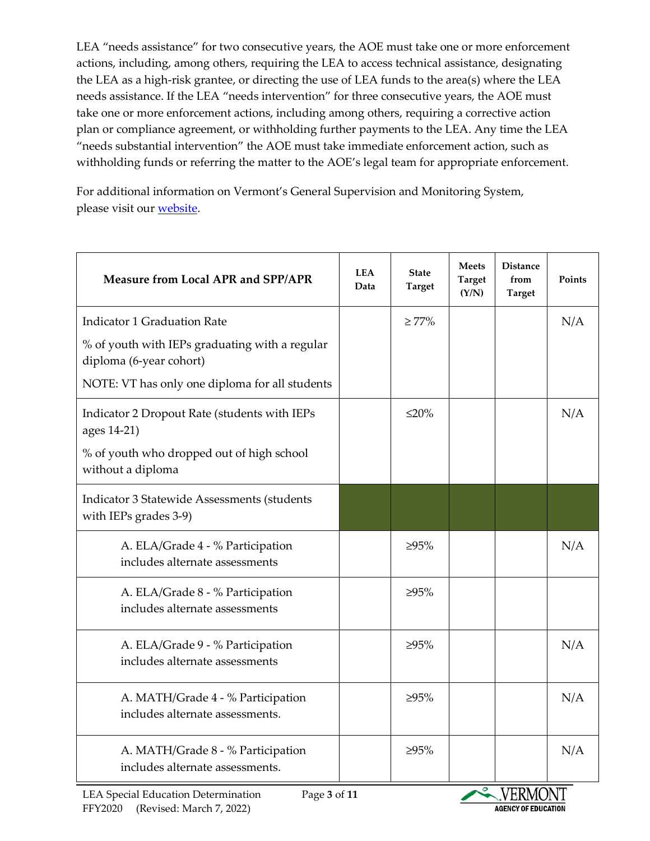LEA "needs assistance" for two consecutive years, the AOE must take one or more enforcement actions, including, among others, requiring the LEA to access technical assistance, designating the LEA as a high-risk grantee, or directing the use of LEA funds to the area(s) where the LEA needs assistance. If the LEA "needs intervention" for three consecutive years, the AOE must take one or more enforcement actions, including among others, requiring a corrective action plan or compliance agreement, or withholding further payments to the LEA. Any time the LEA "needs substantial intervention" the AOE must take immediate enforcement action, such as withholding funds or referring the matter to the AOE's legal team for appropriate enforcement.

For additional information on Vermont's General Supervision and Monitoring System, please visit our **website**.

| <b>Measure from Local APR and SPP/APR</b>                                                                | <b>LEA</b><br>Data | <b>State</b><br><b>Target</b> | <b>Meets</b><br><b>Target</b><br>(Y/N) | <b>Distance</b><br>from<br><b>Target</b> | Points |
|----------------------------------------------------------------------------------------------------------|--------------------|-------------------------------|----------------------------------------|------------------------------------------|--------|
| <b>Indicator 1 Graduation Rate</b>                                                                       |                    | $\geq 77\%$                   |                                        |                                          | N/A    |
| % of youth with IEPs graduating with a regular<br>diploma (6-year cohort)                                |                    |                               |                                        |                                          |        |
| NOTE: VT has only one diploma for all students                                                           |                    |                               |                                        |                                          |        |
| Indicator 2 Dropout Rate (students with IEPs<br>ages 14-21)<br>% of youth who dropped out of high school |                    | $\leq$ 20%                    |                                        |                                          | N/A    |
| without a diploma                                                                                        |                    |                               |                                        |                                          |        |
| Indicator 3 Statewide Assessments (students<br>with IEPs grades 3-9)                                     |                    |                               |                                        |                                          |        |
| A. ELA/Grade 4 - % Participation<br>includes alternate assessments                                       |                    | $>95\%$                       |                                        |                                          | N/A    |
| A. ELA/Grade 8 - % Participation<br>includes alternate assessments                                       |                    | $>95\%$                       |                                        |                                          |        |
| A. ELA/Grade 9 - % Participation<br>includes alternate assessments                                       |                    | ≥95%                          |                                        |                                          | N/A    |
| A. MATH/Grade 4 - % Participation<br>includes alternate assessments.                                     |                    | $>95\%$                       |                                        |                                          | N/A    |
| A. MATH/Grade 8 - % Participation<br>includes alternate assessments.                                     |                    | ≥95%                          |                                        |                                          | N/A    |

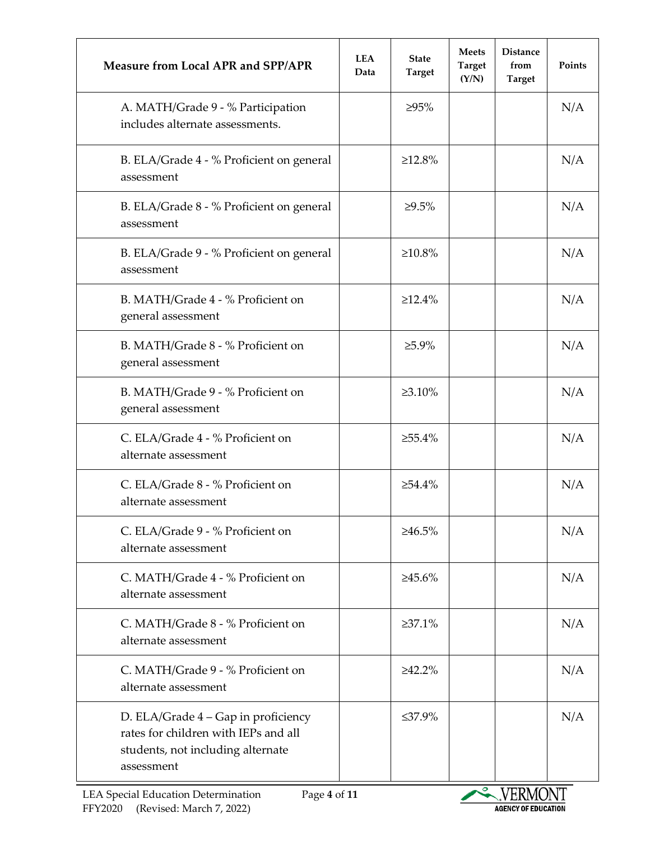| <b>Measure from Local APR and SPP/APR</b>                                                                                      | <b>LEA</b><br>Data | <b>State</b><br><b>Target</b> | <b>Meets</b><br><b>Target</b><br>(Y/N) | <b>Distance</b><br>from<br><b>Target</b> | Points |
|--------------------------------------------------------------------------------------------------------------------------------|--------------------|-------------------------------|----------------------------------------|------------------------------------------|--------|
| A. MATH/Grade 9 - % Participation<br>includes alternate assessments.                                                           |                    | $>95\%$                       |                                        |                                          | N/A    |
| B. ELA/Grade 4 - % Proficient on general<br>assessment                                                                         |                    | $\geq 12.8\%$                 |                                        |                                          | N/A    |
| B. ELA/Grade 8 - % Proficient on general<br>assessment                                                                         |                    | ≥9.5%                         |                                        |                                          | N/A    |
| B. ELA/Grade 9 - % Proficient on general<br>assessment                                                                         |                    | $\geq 10.8\%$                 |                                        |                                          | N/A    |
| B. MATH/Grade 4 - % Proficient on<br>general assessment                                                                        |                    | $\geq$ 12.4%                  |                                        |                                          | N/A    |
| B. MATH/Grade 8 - % Proficient on<br>general assessment                                                                        |                    | $\geq 5.9\%$                  |                                        |                                          | N/A    |
| B. MATH/Grade 9 - % Proficient on<br>general assessment                                                                        |                    | $\geq 3.10\%$                 |                                        |                                          | N/A    |
| C. ELA/Grade 4 - % Proficient on<br>alternate assessment                                                                       |                    | $\geq 55.4\%$                 |                                        |                                          | N/A    |
| C. ELA/Grade 8 - % Proficient on<br>alternate assessment                                                                       |                    | $\geq 54.4\%$                 |                                        |                                          | N/A    |
| C. ELA/Grade 9 - % Proficient on<br>alternate assessment                                                                       |                    | $\geq 46.5\%$                 |                                        |                                          | N/A    |
| C. MATH/Grade 4 - % Proficient on<br>alternate assessment                                                                      |                    | $\geq 45.6\%$                 |                                        |                                          | N/A    |
| C. MATH/Grade 8 - % Proficient on<br>alternate assessment                                                                      |                    | $\geq 37.1\%$                 |                                        |                                          | N/A    |
| C. MATH/Grade 9 - % Proficient on<br>alternate assessment                                                                      |                    | $>42.2\%$                     |                                        |                                          | N/A    |
| D. ELA/Grade 4 – Gap in proficiency<br>rates for children with IEPs and all<br>students, not including alternate<br>assessment |                    | ≤37.9%                        |                                        |                                          | N/A    |

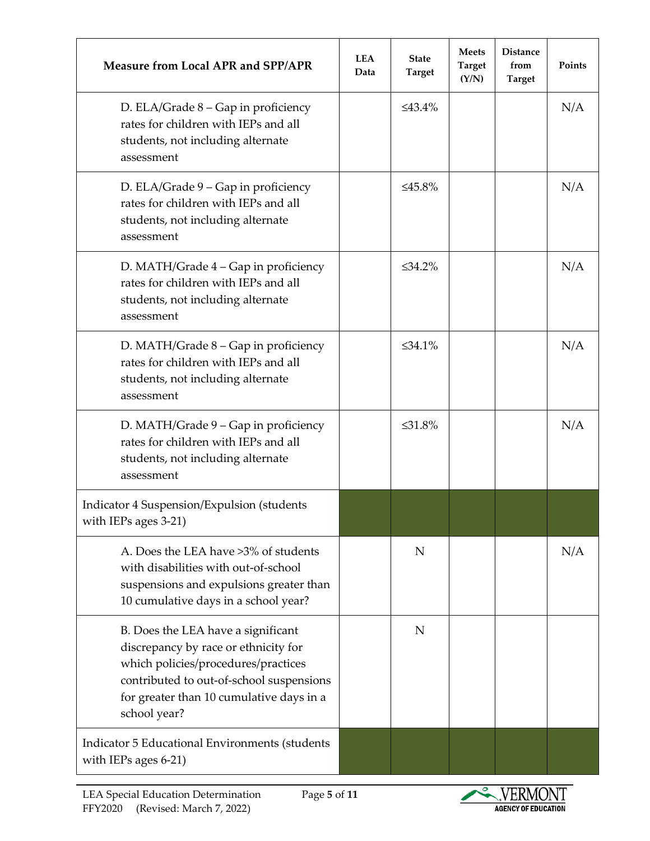| <b>Measure from Local APR and SPP/APR</b>                                                                                                                                                                                 | <b>LEA</b><br>Data | <b>State</b><br><b>Target</b> | <b>Meets</b><br><b>Target</b><br>(Y/N) | <b>Distance</b><br>from<br><b>Target</b> | Points |
|---------------------------------------------------------------------------------------------------------------------------------------------------------------------------------------------------------------------------|--------------------|-------------------------------|----------------------------------------|------------------------------------------|--------|
| D. ELA/Grade $8$ – Gap in proficiency<br>rates for children with IEPs and all<br>students, not including alternate<br>assessment                                                                                          |                    | $\leq 43.4\%$                 |                                        |                                          | N/A    |
| D. ELA/Grade 9 – Gap in proficiency<br>rates for children with IEPs and all<br>students, not including alternate<br>assessment                                                                                            |                    | ≤45.8%                        |                                        |                                          | N/A    |
| D. MATH/Grade 4 – Gap in proficiency<br>rates for children with IEPs and all<br>students, not including alternate<br>assessment                                                                                           |                    | $\leq 34.2\%$                 |                                        |                                          | N/A    |
| D. MATH/Grade $8 - Gap$ in proficiency<br>rates for children with IEPs and all<br>students, not including alternate<br>assessment                                                                                         |                    | $\leq 34.1\%$                 |                                        |                                          | N/A    |
| D. MATH/Grade 9 – Gap in proficiency<br>rates for children with IEPs and all<br>students, not including alternate<br>assessment                                                                                           |                    | $\leq 31.8\%$                 |                                        |                                          | N/A    |
| Indicator 4 Suspension/Expulsion (students<br>with IEPs ages 3-21)                                                                                                                                                        |                    |                               |                                        |                                          |        |
| A. Does the LEA have >3% of students<br>with disabilities with out-of-school<br>suspensions and expulsions greater than<br>10 cumulative days in a school year?                                                           |                    | N                             |                                        |                                          | N/A    |
| B. Does the LEA have a significant<br>discrepancy by race or ethnicity for<br>which policies/procedures/practices<br>contributed to out-of-school suspensions<br>for greater than 10 cumulative days in a<br>school year? |                    | N                             |                                        |                                          |        |
| <b>Indicator 5 Educational Environments (students</b><br>with IEPs ages 6-21)                                                                                                                                             |                    |                               |                                        |                                          |        |

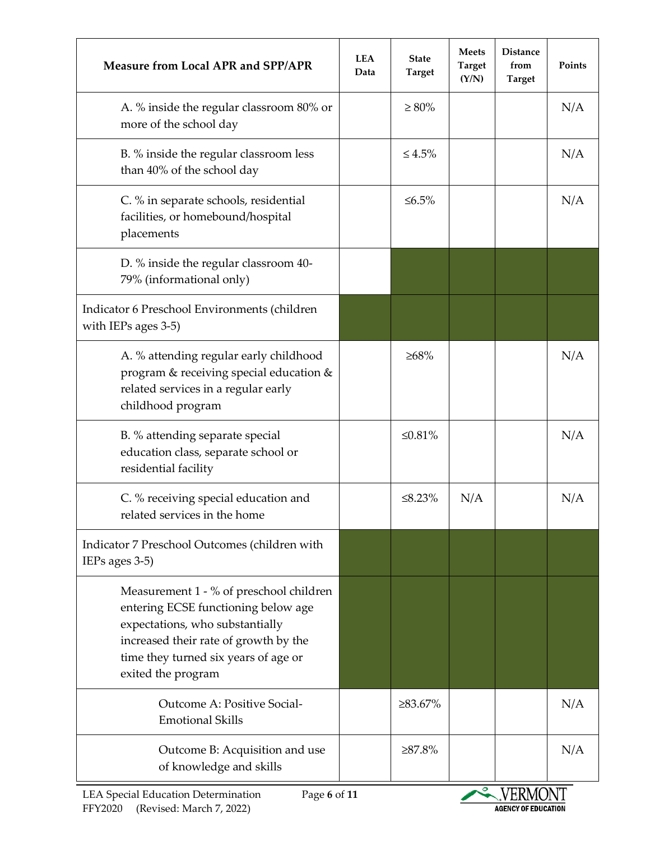| <b>Measure from Local APR and SPP/APR</b>                                                                                                                                                                                | <b>LEA</b><br>Data | <b>State</b><br><b>Target</b> | <b>Meets</b><br><b>Target</b><br>(Y/N) | <b>Distance</b><br>from<br><b>Target</b> | Points |
|--------------------------------------------------------------------------------------------------------------------------------------------------------------------------------------------------------------------------|--------------------|-------------------------------|----------------------------------------|------------------------------------------|--------|
| A. % inside the regular classroom 80% or<br>more of the school day                                                                                                                                                       |                    | $\geq 80\%$                   |                                        |                                          | N/A    |
| B. % inside the regular classroom less<br>than 40% of the school day                                                                                                                                                     |                    | $\leq 4.5\%$                  |                                        |                                          | N/A    |
| C. % in separate schools, residential<br>facilities, or homebound/hospital<br>placements                                                                                                                                 |                    | ≤ $6.5%$                      |                                        |                                          | N/A    |
| D. % inside the regular classroom 40-<br>79% (informational only)                                                                                                                                                        |                    |                               |                                        |                                          |        |
| Indicator 6 Preschool Environments (children<br>with IEPs ages 3-5)                                                                                                                                                      |                    |                               |                                        |                                          |        |
| A. % attending regular early childhood<br>program & receiving special education &<br>related services in a regular early<br>childhood program                                                                            |                    | $\geq 68\%$                   |                                        |                                          | N/A    |
| B. % attending separate special<br>education class, separate school or<br>residential facility                                                                                                                           |                    | ≤0.81%                        |                                        |                                          | N/A    |
| C. % receiving special education and<br>related services in the home                                                                                                                                                     |                    | $\leq 8.23\%$                 | N/A                                    |                                          | N/A    |
| Indicator 7 Preschool Outcomes (children with<br>IEPs ages 3-5)                                                                                                                                                          |                    |                               |                                        |                                          |        |
| Measurement 1 - % of preschool children<br>entering ECSE functioning below age<br>expectations, who substantially<br>increased their rate of growth by the<br>time they turned six years of age or<br>exited the program |                    |                               |                                        |                                          |        |
| Outcome A: Positive Social-<br><b>Emotional Skills</b>                                                                                                                                                                   |                    | ≥83.67%                       |                                        |                                          | N/A    |
| Outcome B: Acquisition and use<br>of knowledge and skills                                                                                                                                                                |                    | $\geq 87.8\%$                 |                                        |                                          | N/A    |

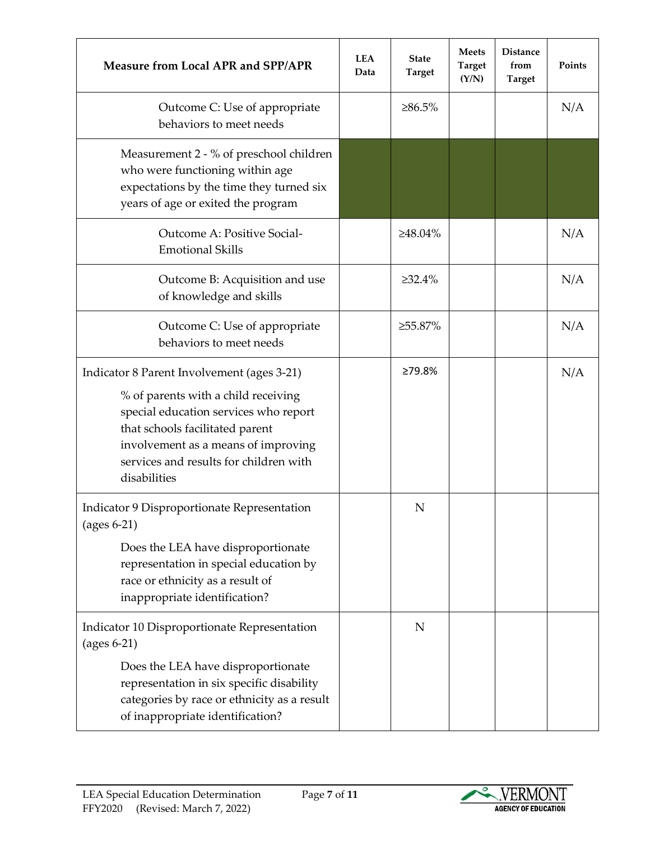| <b>Measure from Local APR and SPP/APR</b>                                                                                                                                                                                                                      | <b>LEA</b><br>Data | <b>State</b><br><b>Target</b> | <b>Meets</b><br><b>Target</b><br>(Y/N) | <b>Distance</b><br>from<br><b>Target</b> | Points |
|----------------------------------------------------------------------------------------------------------------------------------------------------------------------------------------------------------------------------------------------------------------|--------------------|-------------------------------|----------------------------------------|------------------------------------------|--------|
| Outcome C: Use of appropriate<br>behaviors to meet needs                                                                                                                                                                                                       |                    | $\geq 86.5\%$                 |                                        |                                          | N/A    |
| Measurement 2 - % of preschool children<br>who were functioning within age<br>expectations by the time they turned six<br>years of age or exited the program                                                                                                   |                    |                               |                                        |                                          |        |
| Outcome A: Positive Social-<br><b>Emotional Skills</b>                                                                                                                                                                                                         |                    | $\geq 48.04\%$                |                                        |                                          | N/A    |
| Outcome B: Acquisition and use<br>of knowledge and skills                                                                                                                                                                                                      |                    | $\geq 32.4\%$                 |                                        |                                          | N/A    |
| Outcome C: Use of appropriate<br>behaviors to meet needs                                                                                                                                                                                                       |                    | ≥55.87%                       |                                        |                                          | N/A    |
| Indicator 8 Parent Involvement (ages 3-21)<br>% of parents with a child receiving<br>special education services who report<br>that schools facilitated parent<br>involvement as a means of improving<br>services and results for children with<br>disabilities |                    | ≥79.8%                        |                                        |                                          | N/A    |
| Indicator 9 Disproportionate Representation<br>$(ages 6-21)$<br>Does the LEA have disproportionate<br>representation in special education by<br>race or ethnicity as a result of<br>inappropriate identification?                                              |                    | N                             |                                        |                                          |        |
| Indicator 10 Disproportionate Representation<br>$(ages 6-21)$<br>Does the LEA have disproportionate<br>representation in six specific disability<br>categories by race or ethnicity as a result<br>of inappropriate identification?                            |                    | N                             |                                        |                                          |        |

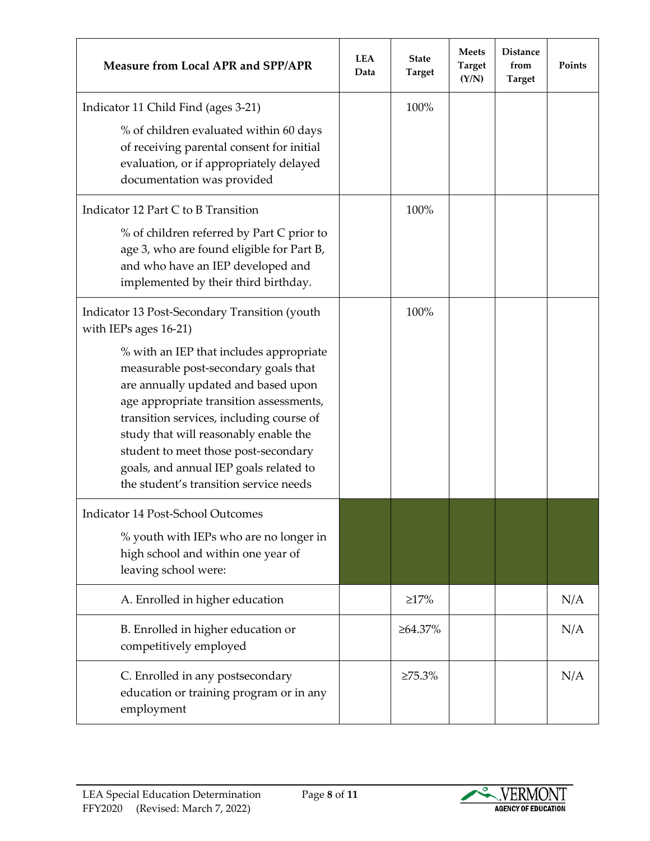| <b>Measure from Local APR and SPP/APR</b>                                                                                                                                                                                                                                                                                                                                                                                                                    | <b>LEA</b><br>Data | <b>State</b><br><b>Target</b> | <b>Meets</b><br><b>Target</b><br>(Y/N) | <b>Distance</b><br>from<br><b>Target</b> | Points |
|--------------------------------------------------------------------------------------------------------------------------------------------------------------------------------------------------------------------------------------------------------------------------------------------------------------------------------------------------------------------------------------------------------------------------------------------------------------|--------------------|-------------------------------|----------------------------------------|------------------------------------------|--------|
| Indicator 11 Child Find (ages 3-21)<br>% of children evaluated within 60 days<br>of receiving parental consent for initial<br>evaluation, or if appropriately delayed<br>documentation was provided                                                                                                                                                                                                                                                          |                    | 100%                          |                                        |                                          |        |
| Indicator 12 Part C to B Transition<br>% of children referred by Part C prior to<br>age 3, who are found eligible for Part B,<br>and who have an IEP developed and<br>implemented by their third birthday.                                                                                                                                                                                                                                                   |                    | 100%                          |                                        |                                          |        |
| Indicator 13 Post-Secondary Transition (youth<br>with IEPs ages 16-21)<br>% with an IEP that includes appropriate<br>measurable post-secondary goals that<br>are annually updated and based upon<br>age appropriate transition assessments,<br>transition services, including course of<br>study that will reasonably enable the<br>student to meet those post-secondary<br>goals, and annual IEP goals related to<br>the student's transition service needs |                    | 100%                          |                                        |                                          |        |
| Indicator 14 Post-School Outcomes<br>% youth with IEPs who are no longer in<br>high school and within one year of<br>leaving school were:                                                                                                                                                                                                                                                                                                                    |                    |                               |                                        |                                          |        |
| A. Enrolled in higher education                                                                                                                                                                                                                                                                                                                                                                                                                              |                    | $\geq$ 17%                    |                                        |                                          | N/A    |
| B. Enrolled in higher education or<br>competitively employed                                                                                                                                                                                                                                                                                                                                                                                                 |                    | $\geq 64.37\%$                |                                        |                                          | N/A    |
| C. Enrolled in any postsecondary<br>education or training program or in any<br>employment                                                                                                                                                                                                                                                                                                                                                                    |                    | $\geq 75.3\%$                 |                                        |                                          | N/A    |

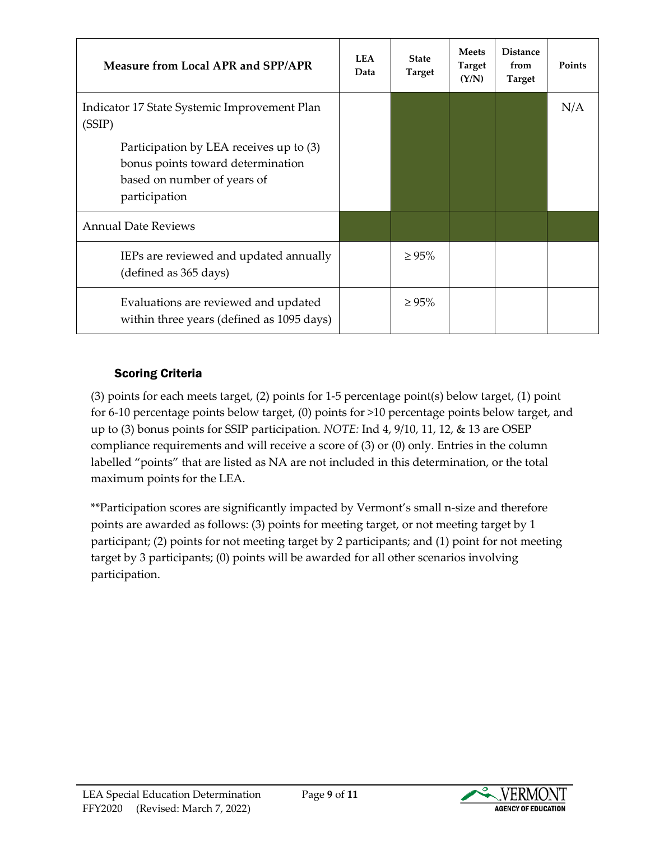| <b>Measure from Local APR and SPP/APR</b>                                                                                    | <b>LEA</b><br>Data | <b>State</b><br><b>Target</b> | <b>Meets</b><br>Target<br>(Y/N) | <b>Distance</b><br>from<br><b>Target</b> | Points |
|------------------------------------------------------------------------------------------------------------------------------|--------------------|-------------------------------|---------------------------------|------------------------------------------|--------|
| Indicator 17 State Systemic Improvement Plan<br>(SSIP)                                                                       |                    |                               |                                 |                                          | N/A    |
| Participation by LEA receives up to (3)<br>bonus points toward determination<br>based on number of years of<br>participation |                    |                               |                                 |                                          |        |
| <b>Annual Date Reviews</b>                                                                                                   |                    |                               |                                 |                                          |        |
| IEPs are reviewed and updated annually<br>(defined as 365 days)                                                              |                    | $\geq 95\%$                   |                                 |                                          |        |
| Evaluations are reviewed and updated<br>within three years (defined as 1095 days)                                            |                    | $\geq 95\%$                   |                                 |                                          |        |

# Scoring Criteria

(3) points for each meets target, (2) points for 1-5 percentage point(s) below target, (1) point for 6-10 percentage points below target, (0) points for >10 percentage points below target, and up to (3) bonus points for SSIP participation. *NOTE:* Ind 4, 9/10, 11, 12, & 13 are OSEP compliance requirements and will receive a score of (3) or (0) only. Entries in the column labelled "points" that are listed as NA are not included in this determination, or the total maximum points for the LEA.

\*\*Participation scores are significantly impacted by Vermont's small n-size and therefore points are awarded as follows: (3) points for meeting target, or not meeting target by 1 participant; (2) points for not meeting target by 2 participants; and (1) point for not meeting target by 3 participants; (0) points will be awarded for all other scenarios involving participation.

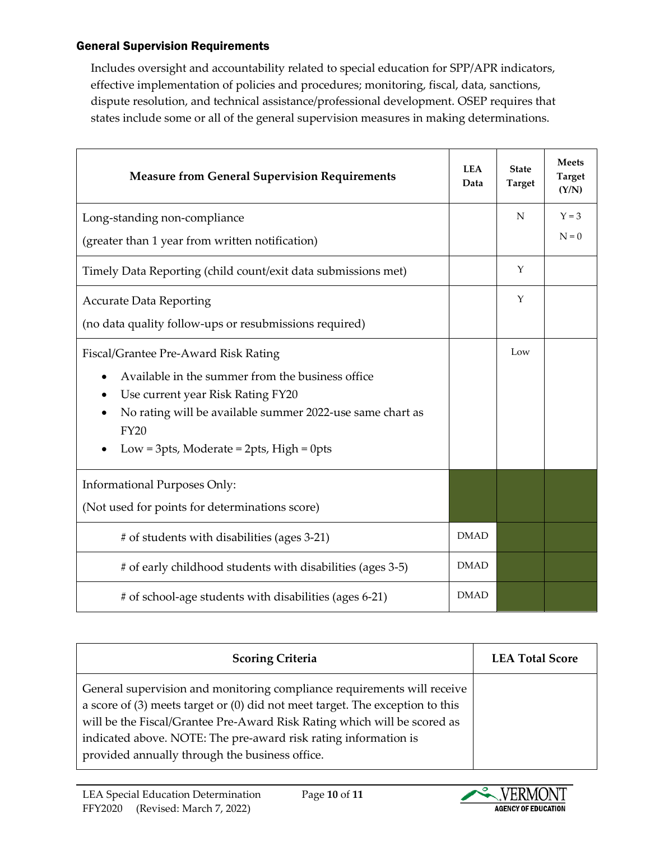### General Supervision Requirements

Includes oversight and accountability related to special education for SPP/APR indicators, effective implementation of policies and procedures; monitoring, fiscal, data, sanctions, dispute resolution, and technical assistance/professional development. OSEP requires that states include some or all of the general supervision measures in making determinations.

| <b>Measure from General Supervision Requirements</b>                                                                                                                                                                                                        |             | <b>State</b><br><b>Target</b> | <b>Meets</b><br><b>Target</b><br>(Y/N) |
|-------------------------------------------------------------------------------------------------------------------------------------------------------------------------------------------------------------------------------------------------------------|-------------|-------------------------------|----------------------------------------|
| Long-standing non-compliance                                                                                                                                                                                                                                |             | N                             | $Y = 3$                                |
| (greater than 1 year from written notification)                                                                                                                                                                                                             |             |                               | $N = 0$                                |
| Timely Data Reporting (child count/exit data submissions met)                                                                                                                                                                                               |             | Y                             |                                        |
| <b>Accurate Data Reporting</b>                                                                                                                                                                                                                              |             | Y                             |                                        |
| (no data quality follow-ups or resubmissions required)                                                                                                                                                                                                      |             |                               |                                        |
| Fiscal/Grantee Pre-Award Risk Rating<br>Available in the summer from the business office<br>Use current year Risk Rating FY20<br>No rating will be available summer 2022-use same chart as<br><b>FY20</b><br>Low = $3pts$ , Moderate = $2pts$ , High = 0pts |             | Low                           |                                        |
| <b>Informational Purposes Only:</b>                                                                                                                                                                                                                         |             |                               |                                        |
| (Not used for points for determinations score)                                                                                                                                                                                                              |             |                               |                                        |
| # of students with disabilities (ages 3-21)                                                                                                                                                                                                                 | <b>DMAD</b> |                               |                                        |
| # of early childhood students with disabilities (ages 3-5)                                                                                                                                                                                                  | <b>DMAD</b> |                               |                                        |
| # of school-age students with disabilities (ages 6-21)                                                                                                                                                                                                      | <b>DMAD</b> |                               |                                        |

| <b>Scoring Criteria</b>                                                                                                                                                                                                                                                                                     | <b>LEA Total Score</b> |
|-------------------------------------------------------------------------------------------------------------------------------------------------------------------------------------------------------------------------------------------------------------------------------------------------------------|------------------------|
| General supervision and monitoring compliance requirements will receive<br>a score of $(3)$ meets target or $(0)$ did not meet target. The exception to this<br>will be the Fiscal/Grantee Pre-Award Risk Rating which will be scored as<br>indicated above. NOTE: The pre-award risk rating information is |                        |
| provided annually through the business office.                                                                                                                                                                                                                                                              |                        |